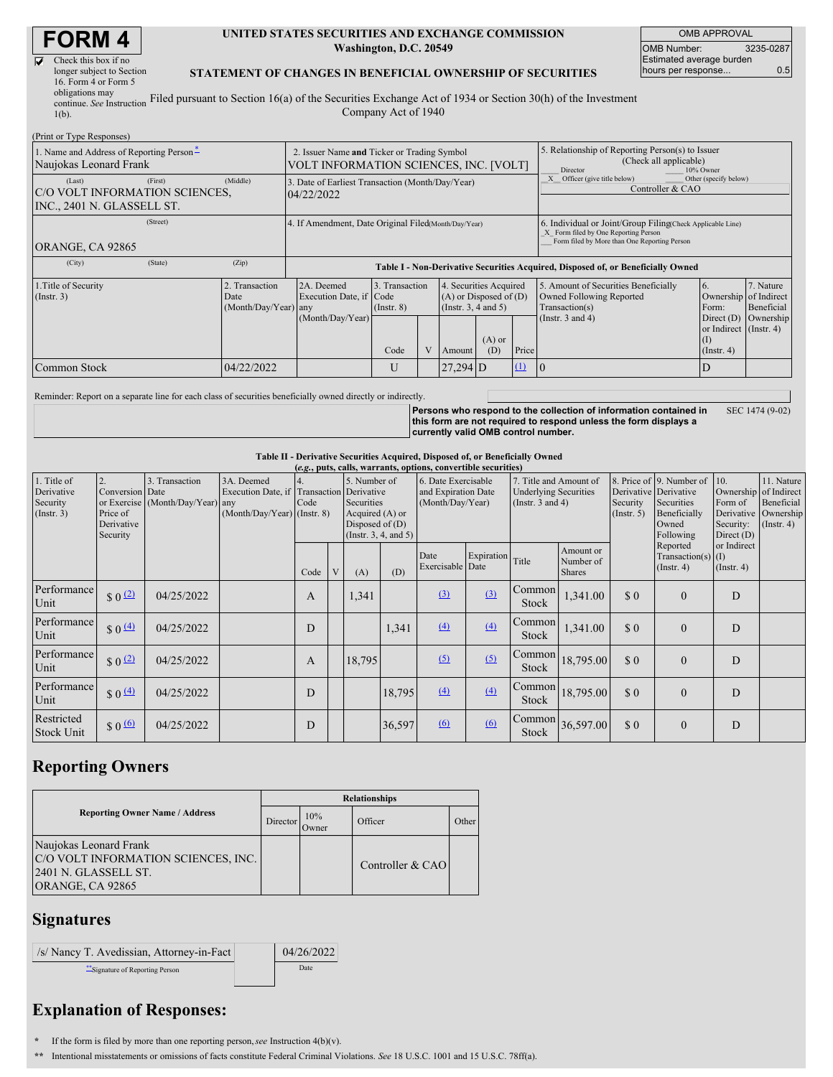# **FORM 4**

| J | Check this box if no      |   |
|---|---------------------------|---|
|   | longer subject to Section |   |
|   | 16. Form 4 or Form 5      |   |
|   | obligations may           |   |
|   | continue. See Instruction | F |

#### **UNITED STATES SECURITIES AND EXCHANGE COMMISSION Washington, D.C. 20549**

OMB APPROVAL OMB Number: 3235-0287 Estimated average burden hours per response... 0.5

#### **STATEMENT OF CHANGES IN BENEFICIAL OWNERSHIP OF SECURITIES**

continue. *See* Instruction 1(b). Filed pursuant to Section 16(a) of the Securities Exchange Act of 1934 or Section 30(h) of the Investment Company Act of 1940

| (Print or Type Responses)                                                                    |            |                                                                                       |                                   |  |                                                                              |                 |                                                                         |                                                                                                                                                    |                                                |                         |  |
|----------------------------------------------------------------------------------------------|------------|---------------------------------------------------------------------------------------|-----------------------------------|--|------------------------------------------------------------------------------|-----------------|-------------------------------------------------------------------------|----------------------------------------------------------------------------------------------------------------------------------------------------|------------------------------------------------|-------------------------|--|
| 1. Name and Address of Reporting Person-<br>Naujokas Leonard Frank                           |            | 2. Issuer Name and Ticker or Trading Symbol<br>VOLT INFORMATION SCIENCES, INC. [VOLT] |                                   |  |                                                                              |                 |                                                                         | 5. Relationship of Reporting Person(s) to Issuer<br>(Check all applicable)<br>Director<br>10% Owner                                                |                                                |                         |  |
| (First)<br>(Last)<br>C/O VOLT INFORMATION SCIENCES,<br>INC., 2401 N. GLASSELL ST.            | (Middle)   | 3. Date of Earliest Transaction (Month/Day/Year)<br>04/22/2022                        |                                   |  |                                                                              |                 | Other (specify below)<br>Officer (give title below)<br>Controller & CAO |                                                                                                                                                    |                                                |                         |  |
| (Street)<br>ORANGE, CA 92865                                                                 |            | 4. If Amendment, Date Original Filed(Month/Day/Year)                                  |                                   |  |                                                                              |                 |                                                                         | 6. Individual or Joint/Group Filing(Check Applicable Line)<br>X Form filed by One Reporting Person<br>Form filed by More than One Reporting Person |                                                |                         |  |
| (State)<br>(City)                                                                            | (Zip)      | Table I - Non-Derivative Securities Acquired, Disposed of, or Beneficially Owned      |                                   |  |                                                                              |                 |                                                                         |                                                                                                                                                    |                                                |                         |  |
| 1. Title of Security<br>2. Transaction<br>$($ Instr. 3 $)$<br>Date<br>$(Month/Day/Year)$ any |            | 2A. Deemed<br>Execution Date, if Code                                                 | 3. Transaction<br>$($ Instr. $8)$ |  | 4. Securities Acquired<br>$(A)$ or Disposed of $(D)$<br>(Insert. 3, 4 and 5) |                 |                                                                         | 5. Amount of Securities Beneficially<br>Owned Following Reported<br>Transaction(s)                                                                 | 6.<br>Ownership of Indirect<br>Form:           | 7. Nature<br>Beneficial |  |
|                                                                                              |            | (Month/Day/Year)                                                                      | Code                              |  | Amount                                                                       | $(A)$ or<br>(D) | Price                                                                   | (Instr. $3$ and $4$ )                                                                                                                              | or Indirect (Instr. 4)<br>(I)<br>$($ Instr. 4) | Direct (D) Ownership    |  |
| Common Stock                                                                                 | 04/22/2022 |                                                                                       | U                                 |  | $27,294$ D                                                                   |                 | $\mathbf{u}$                                                            | $\mathbf{I}(\mathbf{0})$                                                                                                                           | D                                              |                         |  |

Reminder: Report on a separate line for each class of securities beneficially owned directly or indirectly.

Persons who respond to the collection of information contained in<br>this form are not required to respond unless the form displays a **currently valid OMB control number.** SEC 1474 (9-02)

### **Table II - Derivative Securities Acquired, Disposed of, or Beneficially Owned**

| (e.g., puts, calls, warrants, options, convertible securities) |                                                             |                                                    |                                                                                          |              |   |                                                                    |                       |                                                                |            |                                                                                 |                                         |                         |                                                                                                       |                                                                                     |                                                           |
|----------------------------------------------------------------|-------------------------------------------------------------|----------------------------------------------------|------------------------------------------------------------------------------------------|--------------|---|--------------------------------------------------------------------|-----------------------|----------------------------------------------------------------|------------|---------------------------------------------------------------------------------|-----------------------------------------|-------------------------|-------------------------------------------------------------------------------------------------------|-------------------------------------------------------------------------------------|-----------------------------------------------------------|
| 1. Title of<br>Derivative<br>Security<br>$($ Instr. 3 $)$      | 2.<br>Conversion Date<br>Price of<br>Derivative<br>Security | 3. Transaction<br>or Exercise (Month/Day/Year) any | 3A. Deemed<br>Execution Date, if Transaction Derivative<br>$(Month/Day/Year)$ (Instr. 8) | Code         |   | 5. Number of<br>Securities<br>Acquired (A) or<br>Disposed of $(D)$ | (Insert. 3, 4, and 5) | 6. Date Exercisable<br>and Expiration Date<br>(Month/Day/Year) |            | 7. Title and Amount of<br><b>Underlying Securities</b><br>(Instr. $3$ and $4$ ) |                                         | Security<br>(Insert. 5) | 8. Price of 9. Number of<br>Derivative Derivative<br>Securities<br>Beneficially<br>Owned<br>Following | 110.<br>Ownership of Indirect<br>Form of<br>Derivative<br>Security:<br>Direct $(D)$ | 11. Nature<br>Beneficial<br>Ownership<br>$($ Instr. 4 $)$ |
|                                                                |                                                             |                                                    |                                                                                          | Code         | V | (A)                                                                | (D)                   | Date<br>Exercisable Date                                       | Expiration | Title                                                                           | Amount or<br>Number of<br><b>Shares</b> |                         | Reported<br>Transaction(s) $(I)$<br>$($ Instr. 4 $)$                                                  | or Indirect<br>$($ Instr. 4 $)$                                                     |                                                           |
| Performance<br>Unit                                            | $\frac{1}{2}$ 0 $\frac{1}{2}$                               | 04/25/2022                                         |                                                                                          | $\mathbf{A}$ |   | 1,341                                                              |                       | (3)                                                            | (3)        | Common<br><b>Stock</b>                                                          | 1,341.00                                | \$0                     | $\Omega$                                                                                              | D                                                                                   |                                                           |
| Performance<br>Unit                                            | $$0 \underline{4}$                                          | 04/25/2022                                         |                                                                                          | D            |   |                                                                    | 1,341                 | (4)                                                            | (4)        | Common<br>Stock                                                                 | 1,341.00                                | \$0                     | $\Omega$                                                                                              | D                                                                                   |                                                           |
| Performance<br>Unit                                            | \$0 <sup>(2)</sup>                                          | 04/25/2022                                         |                                                                                          | A            |   | 18,795                                                             |                       | (5)                                                            | (5)        | Common <sup>1</sup><br><b>Stock</b>                                             | 18,795.00                               | \$0                     | $\Omega$                                                                                              | D                                                                                   |                                                           |
| Performance<br>Unit                                            | $\frac{1}{2}$ 0 $\frac{(4)}{4}$                             | 04/25/2022                                         |                                                                                          | D            |   |                                                                    | 18,795                | (4)                                                            | (4)        | Common<br>Stock                                                                 | 18,795.00                               | \$0                     | $\Omega$                                                                                              | D                                                                                   |                                                           |
| Restricted<br><b>Stock Unit</b>                                | $$0 \Omega$                                                 | 04/25/2022                                         |                                                                                          | D            |   |                                                                    | 36,597                | 6                                                              | 6          | Stock                                                                           | Common 36,597.00                        | \$0                     | $\Omega$                                                                                              | D                                                                                   |                                                           |

## **Reporting Owners**

|                                                                                                           | <b>Relationships</b> |              |                  |       |  |  |  |  |
|-----------------------------------------------------------------------------------------------------------|----------------------|--------------|------------------|-------|--|--|--|--|
| <b>Reporting Owner Name / Address</b>                                                                     | Director             | 10%<br>Owner | Officer          | Other |  |  |  |  |
| Naujokas Leonard Frank<br>C/O VOLT INFORMATION SCIENCES, INC.<br>2401 N. GLASSELL ST.<br>ORANGE, CA 92865 |                      |              | Controller & CAO |       |  |  |  |  |

### **Signatures**

| /s/ Nancy T. Avedissian, Attorney-in-Fact | 04/26/2022 |
|-------------------------------------------|------------|
| Signature of Reporting Person             | Date       |

# **Explanation of Responses:**

- **\*** If the form is filed by more than one reporting person,*see* Instruction 4(b)(v).
- **\*\*** Intentional misstatements or omissions of facts constitute Federal Criminal Violations. *See* 18 U.S.C. 1001 and 15 U.S.C. 78ff(a).